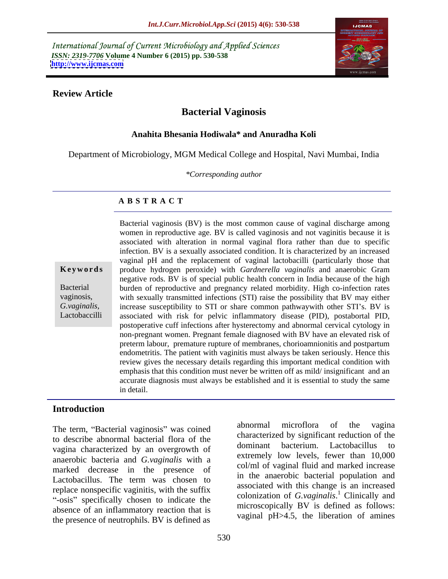International Journal of Current Microbiology and Applied Sciences *ISSN: 2319-7706* **Volume 4 Number 6 (2015) pp. 530-538 <http://www.ijcmas.com>**



### **Review Article**

# **Bacterial Vaginosis**

## **Anahita Bhesania Hodiwala\* and Anuradha Koli**

Department of Microbiology, MGM Medical College and Hospital, Navi Mumbai, India

*\*Corresponding author*

## **A B S T R A C T**

Lactobaccilli

Bacterial vaginosis (BV) is the most common cause of vaginal discharge among women in reproductive age. BV is called vaginosis and not vaginitis because it is associated with alteration in normal vaginal flora rather than due to specific infection. BV is a sexually associated condition. It is characterized by an increased vaginal pH and the replacement of vaginal lactobacilli (particularly those that **Keywords** produce hydrogen peroxide) with *Gardnerella vaginalis* and anaerobic Gram negative rods. BV is of special public health concern in India because of the high burden of reproductive and pregnancy related morbidity. High co-infection rates Bacterial vaginosis, with sexually transmitted infections (STI) raise the possibility that BV may either G.*vaginalis*, increase susceptibility to STI or share common pathwaywith other STI's. BV is associated with risk for pelvic inflammatory disease (PID), postabortal PID, postoperative cuff infections after hysterectomy and abnormal cervical cytology in non-pregnant women. Pregnant female diagnosed with BV have an elevated risk of preterm labour, premature rupture of membranes, chorioamnionitis and postpartum endometritis. The patient with vaginitis must always be taken seriously. Hence this review gives the necessary details regarding this important medical condition with emphasis that this condition must never be written off as mild/ insignificant and an accurate diagnosis must always be established and it is essential to study the same in detail.

## **Introduction**

to describe abnormal bacterial flora of the characterized by significant reduction of the dominant bacterium. Lactobacillus to vagina characterized by an overgrowth of anaerobic bacteria and *G.vaginalis* with a marked decrease in the presence of Lactobacillus. The term was chosen to the diagnosis bacterial population and replace nonspecific vaginitis, with the suffix "-osis" specifically chosen to indicate the absence of an inflammatory reaction that is the presence of neutrophils. BV is defined as

The term, "Bacterial vaginosis" was coined abnormal microflora of the vagina abnormal microflora of the vagina characterized by significant reduction of the dominant bacterium. Lactobacillus to extremely low levels, fewer than 10,000 col/ml of vaginal fluid and marked increase in the anaerobic bacterial population and associated with this change is an increased colonization of *G.vaginalis*.<sup>1</sup> Clinically and microscopically BV is defined as follows: vaginal pH>4.5, the liberation of amines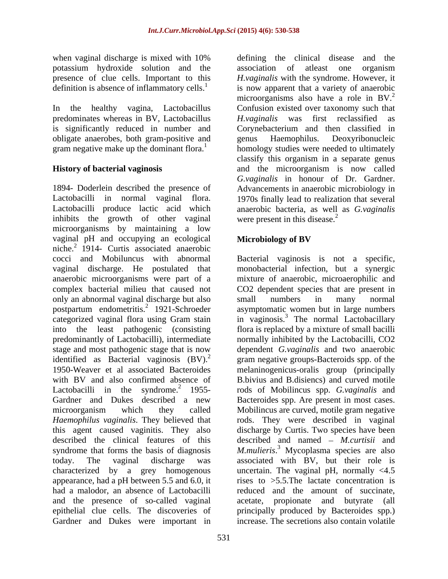when vaginal discharge is mixed with 10% defining the clinical disease and the potassium hydroxide solution and the presence of clue cells. Important to this definition is absence of inflammatory cells. $<sup>1</sup>$ </sup>

predominates whereas in BV, Lactobacillus obligate anaerobes, both gram-positive and

1894- Doderlein described the presence of Advancements in anaerobic microbiology in Lactobacilli in normal vaginal flora. 1970s finally lead to realization that several Lactobacilli produce lactic acid which anaerobic bacteria, as well as *G.vaginalis* inhibits the growth of other vaginal were present in this disease.<sup>2</sup> microorganisms by maintaining a low vaginal pH and occupying an ecological **Microbiology of BV** niche. $^{2}$  1914- Curtis associated anaerobic cocci and Mobiluncus with abnormal cocci and Mobiluncus with abnormal Bacterial vaginosis is not a specific, vaginal discharge. He postulated that monobacterial infection, but a synergic anaerobic microorganisms were part of a mixture of anaerobic, microaerophilic and complex bacterial milieu that caused not CO2 dependent species that are present in only an abnormal vaginal discharge but also small numbers in many normal postpartum endometritis.<sup>2</sup> 1921-Schroeder categorized vaginal flora using Gram stain in vaginosis.<sup>3</sup> The normal Lactobacillary into the least pathogenic (consisting flora is replaced by a mixture of small bacilli predominantly of Lactobacilli), intermediate normally inhibited by the Lactobacilli, CO2 stage and most pathogenic stage that is now dependent *G.vaginalis* and two anaerobic identified as Bacterial vaginosis  $(BV)^2$  gram negative groups-Bacteroids spp. of the 1950-Weaver et al associated Bacteroides melaninogenicus-oralis group (principally with BV and also confirmed absence of B.bivius and B.disiencs) and curved motile Lactobacilli in the syndrome. $2$  1955-Gardner and Dukes described a new Bacteroides spp. Are present in most cases. microorganism which they called Mobilincus are curved, motile gram negative *Haemophilus vaginalis*. They believed that rods. They were described in vaginal this agent caused vaginitis. They also discharge by Curtis. Two species have been described the clinical features of this described and named – *M.curtisii* and syndrome that forms the basis of diagnosis M.mulieris.<sup>3</sup> Mycoplasma species are also today. The vaginal discharge was associated with BV, but their role is characterized by a grey homogenous uncertain. The vaginal pH, normally <4.5 appearance, had a pH between 5.5 and 6.0, it had a malodor, an absence of Lactobacilli reduced and the amount of succinate, and the presence of so-called vaginal acetate, propionate and butyrate (all epithelial clue cells. The discoveries of principally produced by Bacteroides spp.) Gardner and Dukes were important in

In the healthy vagina, Lactobacillus Confusion existed over taxonomy such that is significantly reduced in number and Corynebacterium and then classified in gram negative make up the dominant flora.<sup>1</sup> homology studies were needed to ultimately **History of bacterial vaginosis** and the microorganism is now called defining the clinical disease and the association of atleast one organism *H.vaginalis* with the syndrome. However, it is now apparent that a variety of anaerobic microorganisms also have a role in  $BV^2$ . *H.vaginalis* was first reclassified genus Haemophilus. Deoxyribonucleic classify this organism in a separate genus *G.vaginalis* in honour of Dr. Gardner. were present in this disease.<sup>2</sup>

# **Microbiology of BV**

small numbers in many normal asymptomatic women but in large numbers rods of Mobilincus spp. *G.vaginalis* and rises to >5.5.The lactate concentration is increase. The secretions also contain volatile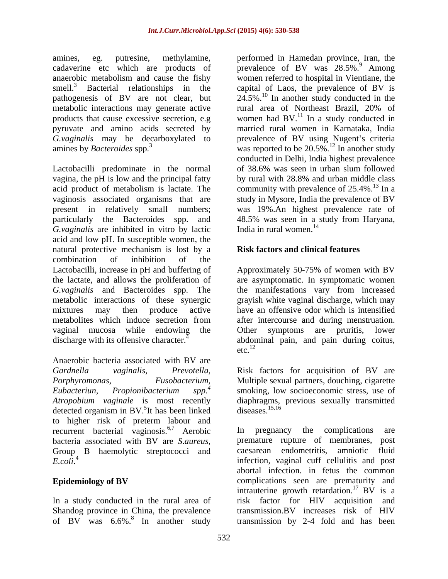smell.<sup>3</sup> Bacterial relationships in the pyruvate and amino acids secreted by

Lactobacilli predominate in the normal vagina, the pH is low and the principal fatty by rural with 28.8% and urban middle class vaginosis associated organisms that are *G.vaginalis* are inhibited in vitro by lactic India in rural women.<sup>14</sup> acid and low pH. In susceptiblewomen, the natural protective mechanism is lost by a combination of inhibition of the Lactobacilli, increase in pH and buffering of Approximately 50-75% of women with BV the lactate, and allows the proliferation of *G.vaginalis* and Bacteroides spp. The the manifestations vary from increased metabolic interactions of these synergic mixtures may then produce active have an offensive odor which is intensified metabolites which induce secretion from after intercourse and during menstruation. vaginal mucosa while endowing the Other symptoms are pruritis, lower

Anaerobic bacteria associated with BV are *Gardnella vaginalis, Prevotella,* Risk factors for acquisition of BV are *Porphyromonas, Fusobacterium, Eubacteriun, Propionibacterium spp.<sup>4</sup> Atropobium vaginale* is most recently diaphragms, previous sexually transmitted detected organism in BV.<sup>5</sup>It has been linked diseases.<sup>15,16</sup> to higher risk of preterm labour and recurrent bacterial vaginosis.<sup>6,7</sup> Aerobic In pregnancy the complications are

In a study conducted in the rural area of

amines, eg. putresine, methylamine, performed in Hamedan province, Iran, the cadaverine etc which are products of prevalence of BV was 28.5%.<sup>9</sup> Among anaerobic metabolism and cause the fishy women referred to hospital in Vientiane, the pathogenesis of BV are not clear, but  $24.5\%$ .<sup>10</sup> In another study conducted in the metabolic interactions may generate active rural area of Northeast Brazil, 20% of products that cause excessive secretion, e.g women had  $BV<sup>11</sup>$  In a study conducted in *G.vaginalis* may be decarboxylated to prevalence of BV using Nugent's criteria amines by *Bacteroides* spp.<sup>3</sup> was reported to be 20.5%.<sup>12</sup> In another study acid product of metabolism is lactate. The community with prevalence of  $25.4\%$ .<sup>13</sup> In a present in relatively small numbers; was 19%.An highest prevalence rate of particularly the Bacteroides spp. and 48.5% was seen in a study from Haryana, capital of Laos, the prevalence of BV is married rural women in Karnataka, India conducted in Delhi, India highest prevalence of 38.6% was seen in urban slum followed by rural with 28.8% and urban middle class study in Mysore, India the prevalence of BV India in rural women. $14$ 

## **Risk factors and clinical features**

discharge with its offensive character.<sup> $4$ </sup> abdominal pain, and pain during coitus, are asymptomatic. In symptomatic women grayish white vaginal discharge, which may  $\text{etc.}^{12}$ 

It has been linked diseases.<sup>15,16</sup> Multiple sexual partners, douching, cigarette smoking, low socioeconomic stress, use of diseases.<sup>15,16</sup>

bacteria associated with BV are *S.aureus*, premature rupture of membranes, post Group B haemolytic streptococci and caesarean endometritis, amniotic fluid *E.coli.*<sup>4</sup> infection, vaginal cuff cellulitis and post **Epidemiology of BV** complications seen are prematurity and Shandog province in China, the prevalence transmission.BV increases risk of HIV of BV was 6.6%.<sup>8</sup> In another study transmission by 2-4 fold and has been In pregnancy the complications premature rupture of membranes, post caesarean endometritis, amniotic fluid abortal infection. in fetus the common intrauterine growth retardation.<sup>17</sup> BV is a risk factor for HIV acquisition and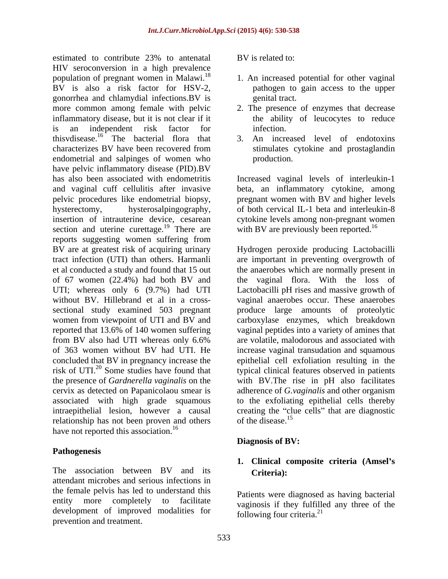estimated to contribute 23% to antenatal BV is related to: HIV seroconversion in a high prevalence population of pregnant women in Malawi.<sup>18</sup> BV is also a risk factor for HSV-2, gonorrhea and chlamydial infections.BV is more common among female with pelvic 2. The presence of enzymes that decrease inflammatory disease, but it is not clear if it is an independent risk factor for thisvdisease.16 The bacterial flora that characterizes BV have been recovered from endometrial and salpinges of women who production. have pelvic inflammatory disease (PID).BV has also been associated with endometritis Increased vaginal levels of interleukin-1 and vaginal cuff cellulitis after invasive beta, an inflammatory cytokine, among pelvic procedures like endometrial biopsy, pregnant women with BV and higher levels hysterectomy, hysterosalpingography, of both cervical IL-1 beta and interleukin-8 insertion of intrauterine device, cesarean cytokine levels among non-pregnant women section and uterine curettage.<sup>19</sup> There are reports suggesting women suffering from BV are at greatest risk of acquiring urinary Hydrogen peroxide producing Lactobacilli tract infection (UTI) than others. Harmanli are important in preventing overgrowth of et al conducted a study and found that 15 out the anaerobes which are normally present in of 67 women (22.4%) had both BV and the vaginal flora. With the loss of UTI; whereas only 6 (9.7%) had UTI Lactobacilli pH rises and massive growth of without BV. Hillebrand et al in a cross- vaginal anaerobes occur. These anaerobes sectional study examined 503 pregnant produce large amounts of proteolytic women from viewpoint of UTI and BV and carboxylase enzymes, which breakdown reported that 13.6% of 140 women suffering vaginal peptides into a variety of amines that from BV also had UTI whereas only 6.6% of 363 women without BV had UTI. He increase vaginal transudation and squamous concluded that BV in pregnancy increase the epithelial cell exfoliation resulting in the risk of UTI.<sup>20</sup> Some studies have found that the presence of *Gardnerella vaginalis* on the the presence of *Gardnerella vaginalis* on the with BV.The rise in pH also facilitates cervix as detected on Papanicolaou smear is adherence of *G.vaginalis* and other organism associated with high grade squamous to the exfoliating epithelial cells thereby intraepithelial lesion, however a causal creating the "clue cells" that are diagnostic relationship has not been proven and others of the disease.<sup>15</sup> have not reported this association.<sup>16</sup>

## **Pathogenesis**

The association between BV and its **Criteria**): attendant microbes and serious infections in the female pelvis has led to understand this entity more completely to facilitate development of improved modalities for prevention and treatment.

BV is related to:

- 1. An increased potential for other vaginal pathogen to gain access to the upper genital tract.
- the ability of leucocytes to reduce infection.
- 3. An increased level of endotoxins stimulates cytokine and prostaglandin production.

with BV are previously been reported.<sup>16</sup>

are volatile, malodorous and associated with typical clinical features observed in patients of the disease.<sup>15</sup>

## **Diagnosis of BV:**

# **1. Clinical composite criteria (Amsel s Criteria):**

Patients were diagnosed as having bacterial vaginosis if they fulfilled any three of the following four criteria. $^{21}$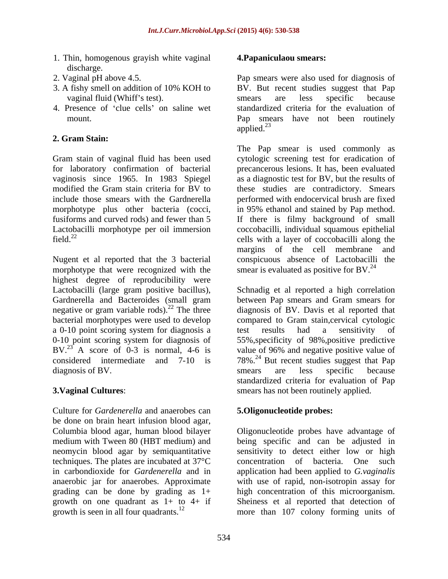- 1. Thin, homogenous grayish white vaginal discharge. The contract of the contract of the contract of the contract of the contract of the contract of the contract of the contract of the contract of the contract of the contract of the contract of the contract of the
- 
- 
- 4. Presence of 'clue cells' on saline wet

# **2. Gram Stain:**

for laboratory confirmation of bacterial

morphotype that were recognized with the highest degree of reproducibility were negative or gram variable rods). $^{22}$  The three bacterial morphotypes were used to develop a 0-10 point scoring system for diagnosis a test results had a sensitivity of BV.<sup>23</sup> A score of 0-3 is normal, 4-6 is diagnosis of BV. Simes are less specific because

Culture for *Gardenerella* and anaerobes can be done on brain heart infusion blood agar, neomycin blood agar by semiquantitative techniques. The plates are incubated at 37°C grading can be done by grading as 1+ growth on one quadrant as  $1+$  to  $4+$  if growth is seen in all four quadrants.<sup>12</sup>

### **4.Papaniculaou smears:**

2. Vaginal pH above 4.5. Pap smears were also used for diagnosis of 3. A fishy smell on addition of 10% KOH to BV. But recent studies suggest that Pap vaginal fluid (Whiff's test). The smears are less specific because mount. Pap smears have not been routinely BV. But recent studies suggest that Pap smears are less specific because standardized criteria for the evaluation of applied.<sup>23</sup> applied.<sup>23</sup>

Gram stain of vaginal fluid has been used cytologic screening test for eradication of vaginosis since 1965. In 1983 Spiegel as a diagnostic test for BV, but the results of modified the Gram stain criteria for BV to these studies are contradictory. Smears include those smears with the Gardnerella performed with endocervical brush are fixed morphotype plus other bacteria (cocci, in 95% ethanol and stained by Pap method. fusiforms and curved rods) and fewer than 5 If there is filmy background of small Lactobacilli morphotype per oil immersion coccobacilli, individual squamous epithelial field.<sup>22</sup> cells with a layer of coccobacilli along the Nugent et al reported that the 3 bacterial conspicuous absence of Lactobacilli the The Pap smear is used commonly as precancerous lesions. It has, been evaluated margins of the cell membrane and smear is evaluated as positive for BV. $^{24}$ 

Lactobacilli (large gram positive bacillus), Schnadig et al reported a high correlation Gardnerella and Bacteroides (small gram between Pap smears and Gram smears for bacterial morphotypes were used to develop compared to Gram stain,cervical cytologic 0-10 point scoring system for diagnosis of 55%,specificity of 98%,positive predictive considered intermediate and  $7-10$  is  $78\%$ .<sup>24</sup> But recent studies suggest that Pap **3.Vaginal Cultures**: smears has not been routinely applied. diagnosis of BV. Davis et al reported that test results had a sensitivity of value of 96% and negative positive value of smears are less specific because standardized criteria for evaluation of Pap

## **5.Oligonucleotide probes:**

Columbia blood agar, human blood bilayer Oligonucleotide probes have advantage of medium with Tween 80 (HBT medium) and being specific and can be adjusted in in carbondioxide for *Gardenerella* and in application had been applied to *G.vaginalis* anaerobic jar for anaerobes. Approximate with use of rapid, non-isotropin assay for growth is seen in all four quadrants.<sup>12</sup> more than  $107$  colony forming units of sensitivity to detect either low or high concentration of bacteria. One high concentration of this microorganism. Sheiness et al reported that detection of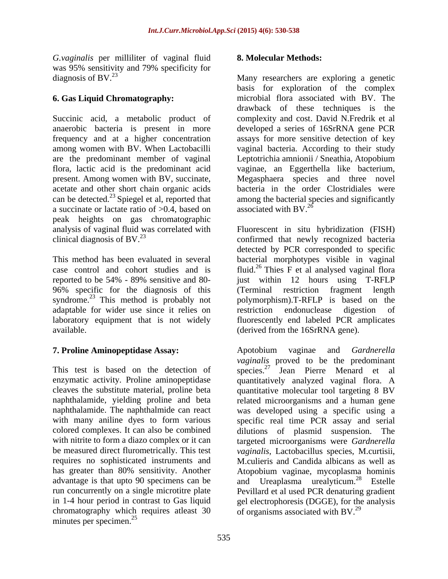*G.vaginalis* per milliliter of vaginal fluid was 95% sensitivity and 79% specificity for diagnosis of BV.<sup>23</sup> diagnosis of BV.<sup>23</sup> Many researchers are exploring a genetic

a succinate or lactate ratio of  $>0.4$ , based on associated with BV.<sup>26</sup> peak heights on gas chromatographic

reported to be 54% - 89% sensitive and 80 syndrome.<sup>23</sup> This method is probably not adaptable for wider use since it relies on restriction endonuclease digestion of

This test is based on the detection of species.<sup>27</sup> chromatography which requires atleast 30 minutes per specimen.<sup>25</sup> minutes per specimen.<sup>25</sup>

## **8. Molecular Methods:**

**6. Gas Liquid Chromatography:** microbial flora associated with BV. The Succinic acid, a metabolic product of complexity and cost. David N.Fredrik et al anaerobic bacteria is present in more developed a series of 16SrRNA gene PCR frequency and at a higher concentration assays for more sensitive detection of key among women with BV. When Lactobacilli vaginal bacteria. According to their study are the predominant member of vaginal Leptotrichia amnionii / Sneathia, Atopobium flora, lactic acid is the predominant acid vaginae, an Eggerthella like bacterium, present. Among women with BV, succinate, Megasphaera species and three novel acetate and other short chain organic acids bacteria in the order Clostridiales were can be detected.<sup>23</sup> Spiegel et al, reported that among the bacterial species and significantly basis for exploration of the complex drawback of these techniques is the associated with BV.<sup>26</sup>  $\sim$ 

analysis of vaginal fluid was correlated with Fluorescent in situ hybridization (FISH) clinical diagnosis of BV.<sup>23</sup> confirmed that newly recognized bacteria This method has been evaluated in several bacterial morphotypes visible in vaginal case control and cohort studies and is fluid.<sup>26</sup> Thies  $\overline{F}$  et al analysed vaginal flora 96% specific for the diagnosis of this (Terminal restriction fragment length laboratory equipment that is not widely fluorescently end labeled PCR amplicates available. (derived from the 16SrRNA gene). detected by PCR corresponded to specific just within 12 hours using T-RFLP polymorphism).T-RFLP is based on the restriction endonuclease digestion of

**7. Proline Aminopeptidase Assay:** enzymatic activity. Proline aminopeptidase quantitatively analyzed vaginal flora. A cleaves the substitute material, proline beta quantitative molecular tool targeting 8 BV naphthalamide, yielding proline and beta related microorganisms and a human gene naphthalamide. The naphthalmide can react was developed using a specific using a with many aniline dyes to form various specific real time PCR assay and serial colored complexes. It can also be combined dilutions of plasmid suspension. The with nitrite to form a diazo complex or it can targeted microorganisms were *Gardnerella*  be measured direct flurometrically. This test *vaginalis*, Lactobacillus species, M.curtisii, requires no sophisticated instruments and M.culieris and Candida albicans as well as has greater than 80% sensitivity. Another Atopobium vaginae, mycoplasma hominis advantage is that upto 90 specimens can be and Ureaplasma urealyticum.<sup>28</sup> Estelle run concurrently on a single microtitre plate Pevillard et al used PCR denaturing gradient in 1-4 hour period in contrast to Gas liquid gel electrophoresis (DGGE), for the analysis Apotobium vaginae and *Gardnerella vaginalis* proved to be the predominant Jean Pierre Menard et al of organisms associated with  $BV^{29}$ .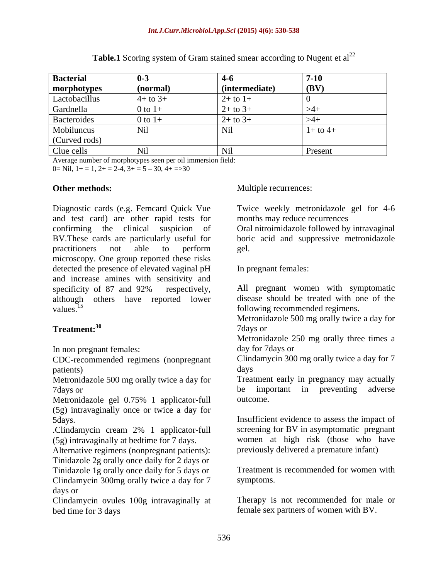| <b>Bacterial</b>             | $0 - 3$           | 4-0             | $7 - 10$     |
|------------------------------|-------------------|-----------------|--------------|
| morphotypes<br>Lactobacillus | $\sqrt{(normal)}$ | (intermediate)  | $ $ (BV)     |
|                              | $4+$ to 3+        | $2+$ to $1+$    |              |
| Gardnella                    | 0 to $1+$         | $2+$ to $3+$    |              |
| Bacteroides                  | $0$ to $1+$       | $2+$ to $3+$    |              |
| Mobiluncus<br>(Curved rods)  | Nil               | $\mathbf{N}$ li | $1+$ to $4+$ |
| Clue cells                   | Nil               | 1 M J           | Present      |

**Table.1** Scoring system of Gram stained smear according to Nugent et al<sup>22</sup>

Average number of morphotypes seen per oil immersion field:

 $0=$  Nil,  $1+=1$ ,  $2+=2-4$ ,  $3+=5-30$ ,  $4+=30$ 

Diagnostic cards (e.g. Femcard Quick Vue Twice weekly metronidazole gel for 4-6 and test card) are other rapid tests for confirming the clinical suspicion of Oral nitroimidazole followed by intravaginal BV.These cards are particularly useful for boric acid and suppressive metronidazole practitioners not able to perform microscopy. One group reported these risks detected the presence of elevated vaginal pH and increase amines with sensitivity and specificity of 87 and 92% respectively, All pregnant women with symptomatic although others have reported lower values.<sup>15</sup> values.<sup>15</sup> following recommended regimens.

In non pregnant females: day for 7 days or

CDC-recommended regimens (nonpregnant patients) and the days days days control of the control of the control of the control of the control of the control of the control of the control of the control of the control of the control of the control of the control o

Metronidazole 500 mg orally twice a day for

Metronidazole gel 0.75% 1 applicator-full (5g) intravaginally once or twice a day for

.Clindamycin cream 2% 1 applicator-full (5g) intravaginally at bedtime for 7 days.

Alternative regimens (nonpregnant patients): Tinidazole 2g orally once daily for 2 days or

Clindamycin 300mg orally twice a day for 7 symptoms. days or

Clindamycin ovules 100g intravaginally at bed time for 3 days female sex partners of women with BV.

**Other methods:** Multiple recurrences:

months may reduce recurrences

gel.

In pregnant females:

All pregnant women with symptomatic disease should be treated with one of the

**Treatment:**<sup>30</sup> and 7 days or Metronidazole 500 mg orally twice a day for 7days or

Metronidazole 250 mg orally three times a day for 7days or

Clindamycin 300 mg orally twice a day for 7 days

7 The 7 days or the 1 and 1 and 1 and 1 and 1 and 1 and 1 and 1 and 1 and 1 and 1 and 1 and 1 and 1 and 1 and 1 and 1 and 1 and 1 and 1 and 1 and 1 and 1 and 1 and 1 and 1 and 1 and 1 and 1 and 1 and 1 and 1 and 1 and 1 an Treatment early in pregnancy may actually be important in preventing adverse outcome.

5days. Insufficient evidence to assess the impact of screening for BV in asymptomatic pregnant women at high risk (those who have previously delivered a premature infant)

Tinidazole 1g orally once daily for 5 days or Treatment is recommended for women with Treatment is recommended for women with symptoms.

Therapy is not recommended for male or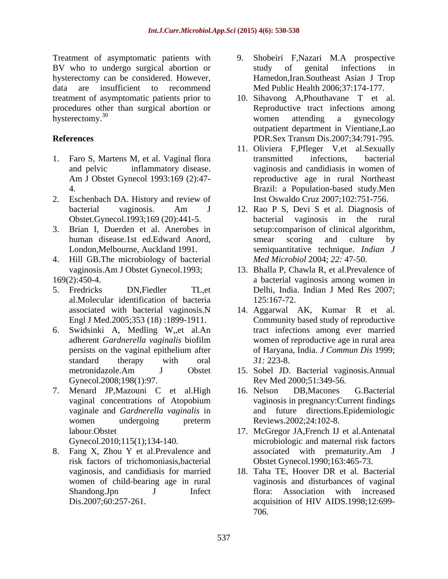Treatment of asymptomatic patients with 9. BV who to undergo surgical abortion or study of genital infections in hysterectomy can be considered. However, data are insufficient to recommend treatment of asymptomatic patients prior to 10. Sihavong A,Phouthavane T et al. procedures other than surgical abortion or hysterectomy.<sup>30</sup> hysterectomy.<sup>30</sup> vomen attending a gynecology

- 1. Faro S, Martens M, et al. Vaginal flora transmitted infections, bacterial
- 2. Eschenbach DA. History and review of
- 
- 4. Hill GB.The microbiology of bacterial
- al.Molecular identification of bacteria
- 6. Swidsinki A, Medling W,,et al.An Gynecol.2008;198(1):97.
- 7. Menard JP,Mazouni C et al.High

8. Fang X, Zhou Y et al.Prevalence and women of child-bearing age in rural

- 9. Shobeiri F,Nazari M.A prospective study of genital infections in Hamedon,Iran.Southeast Asian J Trop Med Public Health 2006;37:174-177.
- **References** PDR.Sex Transm Dis.2007;34:791-795. Reproductive tract infections among women attending a gynecology outpatient department in Vientiane,Lao
	- and pelvic inflammatory disease. vaginosis and candidiasis in women of Am J Obstet Gynecol 1993:169 (2):47- reproductive age in rural Northeast 4. Brazil: a Population-based study.Men 11. Oliviera F,Pfleger V,et al.Sexually transmitted infections, bacterial Inst Oswaldo Cruz 2007;102:751-756.
- bacterial vaginosis. Am J 12. Rao P S, Devi S et al. Diagnosis of Obstet.Gynecol.1993;169 (20):441-5. bacterial vaginosis in the rural 3. Brian I, Duerden et al. Anerobes in setup:comparison of clinical algorithm, human disease.1st ed.Edward Anord, London,Melbourne, Auckland 1991. semiquantitative technique. *Indian J* bacterial vaginosis in the rural smear scoring and culture by *Med Microbiol* 2004; *22:* 47-50.
- vaginosis.Am J Obstet Gynecol.1993; 13. Bhalla P, Chawla R, et al.Prevalence of 169(2):450-4. a bacterial vaginosis among women in 5. Fredricks DN,Fiedler TL,et Delhi, India. Indian J Med Res 2007; 125:167-72.
	- associated with bacterial vaginosis.N 14. Aggarwal AK, Kumar R et al. Engl J Med.2005;353 (18) :1899-1911. Community based study of reproductive adherent *Gardnerella vaginalis* biofilm persists on the vaginal epithelium after of Haryana, India. *J Commun Dis* 1999; standard therapy with oral 31: 223-8. tract infections among ever married women of reproductive age in rural area of Haryana, India. *J Commun Dis* 1999; *31:* 223-8.
	- metronidazole.Am J Obstet 15. Sobel JD. Bacterial vaginosis.Annual Rev Med 2000;51:349-56.
	- vaginal concentrations of Atopobium vaginosis in pregnancy: Current findings vaginale and *Gardnerella vaginalis* in and future directions.Epidemiologic women undergoing preterm Reviews.2002;24:102-8. 16. Nelson DB,Macones G.Bacterial vaginosis in pregnancy:Current findings Reviews.2002;24:102-8.
	- labour.Obstet 17. McGregor JA,French IJ et al.Antenatal Gynecol.2010;115(1);134-140. microbiologic and maternal risk factors risk factors of trichomoniasis,bacterial Obstet Gynecol.1990;163:465-73. associated with prematurity.Am J
	- vaginosis, and candidiasis for married 18. Taha TE, Hoover DR et al. Bacterial Shandong.Jpn J Infect flora: Association with increased Dis.2007;60:257-261. acquisition of HIV AIDS.1998;12:699 vaginosis and disturbances of vaginal 706.